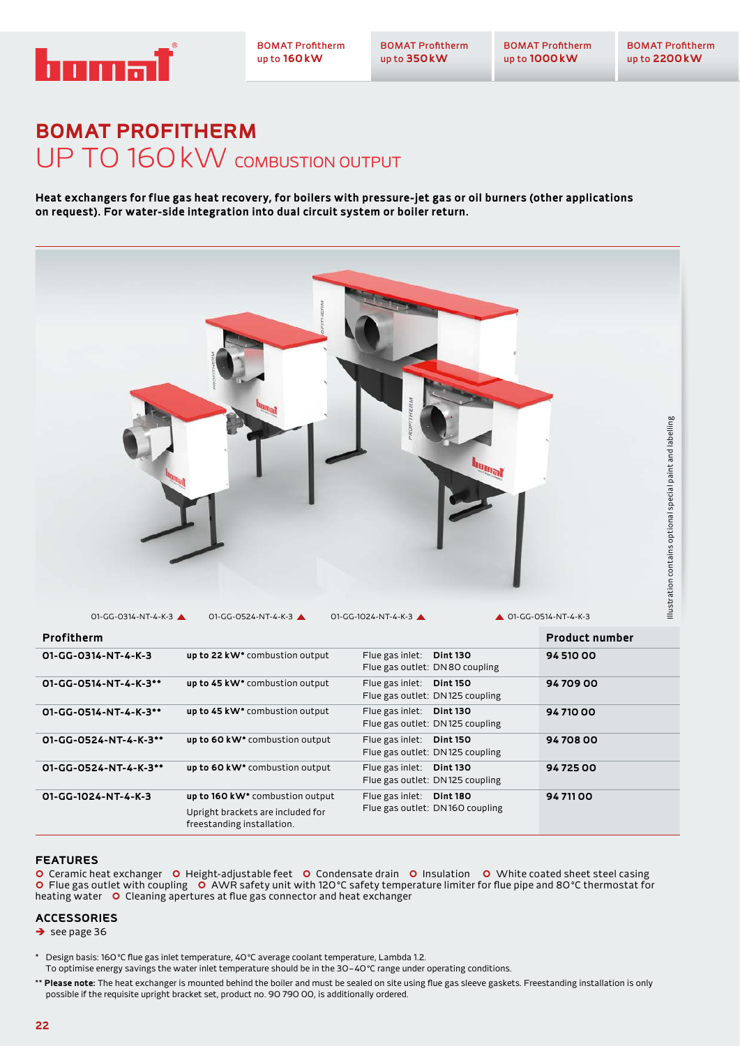

BOMAT Profitherm up to **350kW**

## **BOMAT PROFITHERM**  UP TO 160kW COMBUSTION OUTPUT

**Heat exchangers for flue gas heat recovery, for boilers with pressure-jet gas or oil burners (other applications on request). For water-side integration into dual circuit system or boiler return.**



| Profitherm            |                                                                                                                |                                                             | <b>Product number</b> |
|-----------------------|----------------------------------------------------------------------------------------------------------------|-------------------------------------------------------------|-----------------------|
| 01-GG-0314-NT-4-K-3   | up to 22 kW <sup>*</sup> combustion output                                                                     | Flue gas inlet: Dint 130<br>Flue gas outlet: DN 80 coupling | 94 510 00             |
| 01-GG-0514-NT-4-K-3** | up to 45 kW <sup>*</sup> combustion output                                                                     | Flue gas inlet: Dint 150<br>Flue gas outlet: DN125 coupling | 9470900               |
| 01-GG-0514-NT-4-K-3** | up to 45 kW <sup>*</sup> combustion output                                                                     | Flue gas inlet: Dint 130<br>Flue gas outlet: DN125 coupling | 9471000               |
| 01-GG-0524-NT-4-K-3** | up to 60 kW* combustion output                                                                                 | Flue gas inlet: Dint 150<br>Flue gas outlet: DN125 coupling | 9470800               |
| 01-GG-0524-NT-4-K-3** | up to 60 kW* combustion output                                                                                 | Flue gas inlet. Dint 130<br>Flue gas outlet: DN125 coupling | 9472500               |
| 01-GG-1024-NT-4-K-3   | up to 160 kW <sup>*</sup> combustion output<br>Upright brackets are included for<br>freestanding installation. | Flue gas inlet: Dint 180<br>Flue gas outlet: DN160 coupling | 94 711 00             |

## **FEATURES**

O Ceramic heat exchanger O Height-adjustable feet O Condensate drain O Insulation O White coated sheet steel casing **O** Flue gas outlet with coupling  $\overrightarrow{O}$  AWR safety unit with 120°C safety temperature limiter for flue pipe and 80°C thermostat for heating water **O** Cleaning apertures at flue gas connector and heat exchanger

## **ACCESSORIES**

 $\rightarrow$  see page 36

\* Design basis: 160°C flue gas inlet temperature, 40°C average coolant temperature, Lambda 1.2. To optimise energy savings the water inlet temperature should be in the 30–40°C range under operating conditions.

\*\* **Please note:** The heat exchanger is mounted behind the boiler and must be sealed on site using flue gas sleeve gaskets. Freestanding installation is only possible if the requisite upright bracket set, product no. 90 790 00, is additionally ordered.